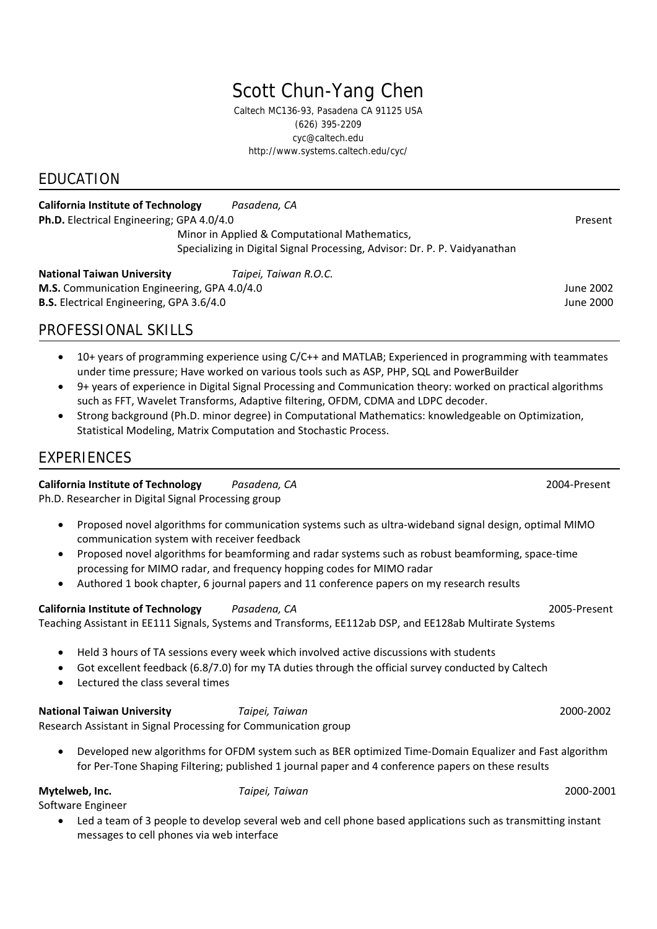# Scott Chun-Yang Chen

Caltech MC136-93, Pasadena CA 91125 USA (626) 395-2209 cyc@caltech.edu http://www.systems.caltech.edu/cyc/

## EDUCATION

**California Institute of Technology** *Pasadena, CA* **Ph.D.** Electrical Engineering; GPA 4.0/4.0 Present Minor in Applied & Computational Mathematics, Specializing in Digital Signal Processing, Advisor: Dr. P. P. Vaidyanathan

**National Taiwan University** *Taipei, Taiwan R.O.C.* **M.S.** Communication Engineering, GPA 4.0/4.0 June 2002 **B.S.** Electrical Engineering, GPA 3.6/4.0 June 2000

## PROFESSIONAL SKILLS

- 10+ years of programming experience using C/C++ and MATLAB; Experienced in programming with teammates under time pressure; Have worked on various tools such as ASP, PHP, SQL and PowerBuilder
- 9+ years of experience in Digital Signal Processing and Communication theory: worked on practical algorithms such as FFT, Wavelet Transforms, Adaptive filtering, OFDM, CDMA and LDPC decoder.
- Strong background (Ph.D. minor degree) in Computational Mathematics: knowledgeable on Optimization, Statistical Modeling, Matrix Computation and Stochastic Process.

## **EXPERIENCES**

**California Institute of Technology** *Pasadena, CA* 2004‐Present

Ph.D. Researcher in Digital Signal Processing group

- Proposed novel algorithms for communication systems such as ultra‐wideband signal design, optimal MIMO communication system with receiver feedback
- Proposed novel algorithms for beamforming and radar systems such as robust beamforming, space‐time processing for MIMO radar, and frequency hopping codes for MIMO radar
- Authored 1 book chapter, 6 journal papers and 11 conference papers on my research results

**California Institute of Technology** *Pasadena, CA* 2005‐Present Teaching Assistant in EE111 Signals, Systems and Transforms, EE112ab DSP, and EE128ab Multirate Systems

• Held 3 hours of TA sessions every week which involved active discussions with students

- Got excellent feedback (6.8/7.0) for my TA duties through the official survey conducted by Caltech
- Lectured the class several times

**National Taiwan University** *Taipei, Taiwan*  2000‐2002 Research Assistant in Signal Processing for Communication group

• Developed new algorithms for OFDM system such as BER optimized Time‐Domain Equalizer and Fast algorithm for Per-Tone Shaping Filtering; published 1 journal paper and 4 conference papers on these results

**Mytelweb, Inc.** *Taipei, Taiwan* 2000‐2001

Software Engineer

• Led a team of 3 people to develop several web and cell phone based applications such as transmitting instant messages to cell phones via web interface